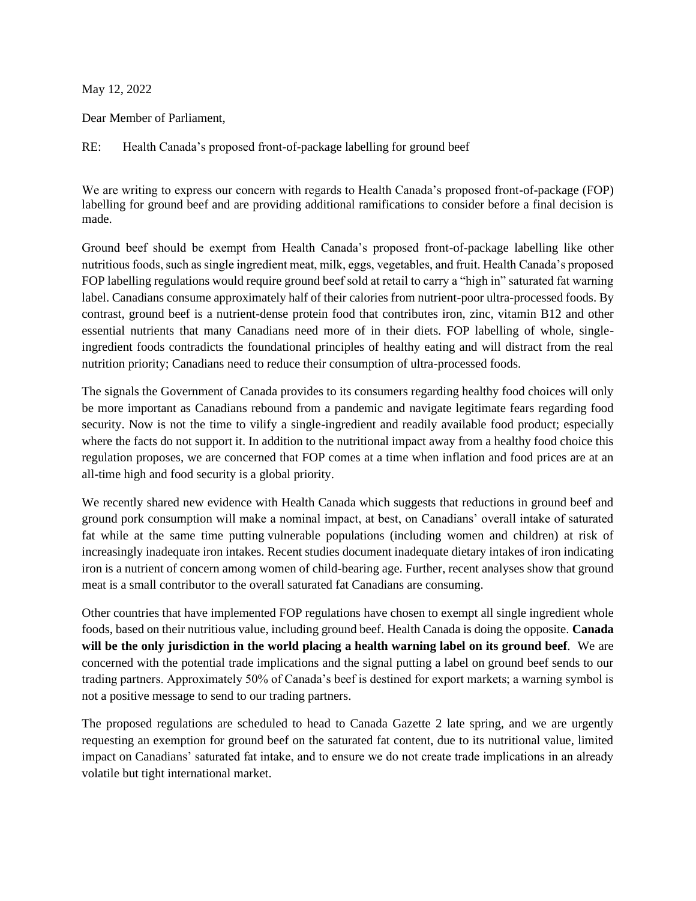## May 12, 2022

Dear Member of Parliament,

RE: Health Canada's proposed front-of-package labelling for ground beef

We are writing to express our concern with regards to Health Canada's proposed front-of-package (FOP) labelling for ground beef and are providing additional ramifications to consider before a final decision is made.

Ground beef should be exempt from Health Canada's proposed front-of-package labelling like other nutritious foods, such as single ingredient meat, milk, eggs, vegetables, and fruit. Health Canada's proposed FOP labelling regulations would require ground beef sold at retail to carry a "high in" saturated fat warning label. Canadians consume approximately half of their calories from nutrient-poor ultra-processed foods. By contrast, ground beef is a nutrient-dense protein food that contributes iron, zinc, vitamin B12 and other essential nutrients that many Canadians need more of in their diets. FOP labelling of whole, singleingredient foods contradicts the foundational principles of healthy eating and will distract from the real nutrition priority; Canadians need to reduce their consumption of ultra-processed foods.

The signals the Government of Canada provides to its consumers regarding healthy food choices will only be more important as Canadians rebound from a pandemic and navigate legitimate fears regarding food security. Now is not the time to vilify a single-ingredient and readily available food product; especially where the facts do not support it. In addition to the nutritional impact away from a healthy food choice this regulation proposes, we are concerned that FOP comes at a time when inflation and food prices are at an all-time high and food security is a global priority.

We recently shared new evidence with Health Canada which suggests that reductions in ground beef and ground pork consumption will make a nominal impact, at best, on Canadians' overall intake of saturated fat while at the same time putting vulnerable populations (including women and children) at risk of increasingly inadequate iron intakes. Recent studies document inadequate dietary intakes of iron indicating iron is a nutrient of concern among women of child-bearing age. Further, recent analyses show that ground meat is a small contributor to the overall saturated fat Canadians are consuming.

Other countries that have implemented FOP regulations have chosen to exempt all single ingredient whole foods, based on their nutritious value, including ground beef. Health Canada is doing the opposite. **Canada will be the only jurisdiction in the world placing a health warning label on its ground beef**. We are concerned with the potential trade implications and the signal putting a label on ground beef sends to our trading partners. Approximately 50% of Canada's beef is destined for export markets; a warning symbol is not a positive message to send to our trading partners.

The proposed regulations are scheduled to head to Canada Gazette 2 late spring, and we are urgently requesting an exemption for ground beef on the saturated fat content, due to its nutritional value, limited impact on Canadians' saturated fat intake, and to ensure we do not create trade implications in an already volatile but tight international market.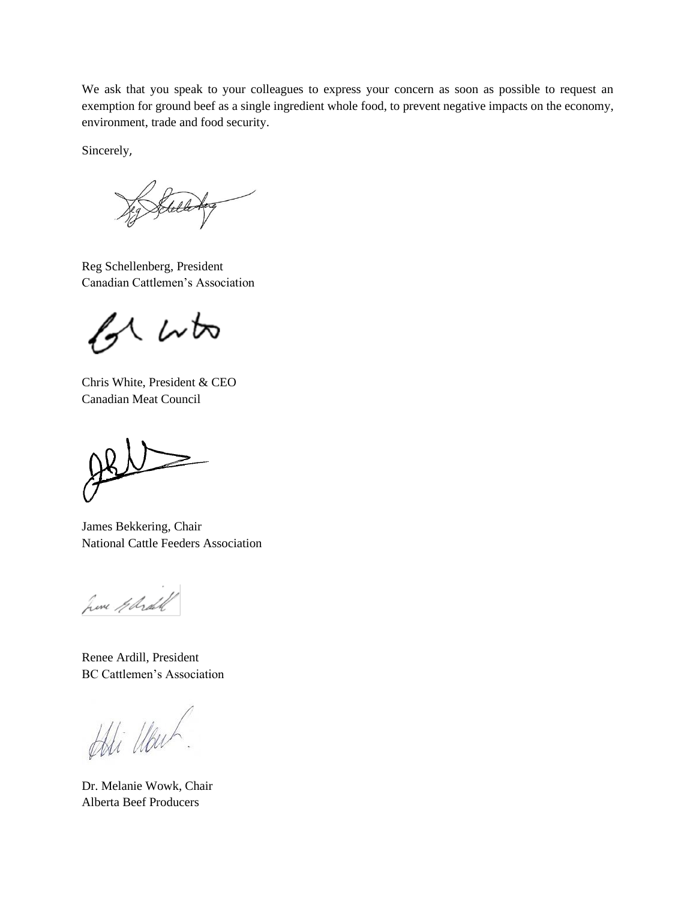We ask that you speak to your colleagues to express your concern as soon as possible to request an exemption for ground beef as a single ingredient whole food, to prevent negative impacts on the economy, environment, trade and food security.

Sincerely,

Reg Schellenberg, President Canadian Cattlemen's Association

くんね

Chris White, President & CEO Canadian Meat Council

 $\geq$ 

James Bekkering, Chair National Cattle Feeders Association

June Gerald

Renee Ardill, President BC Cattlemen's Association

Adi Ubuh

Dr. Melanie Wowk, Chair Alberta Beef Producers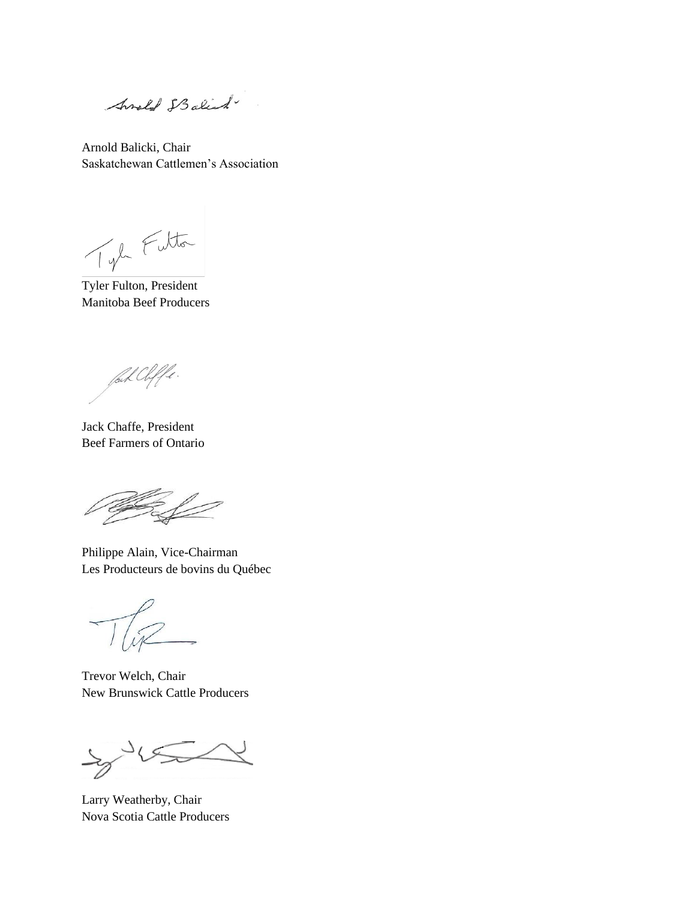Anold IBalist

Arnold Balicki, Chair Saskatchewan Cattlemen's Association

Tyle Fulton

Tyler Fulton, President Manitoba Beef Producers

fal Cliffe.

Jack Chaffe, President Beef Farmers of Ontario

Philippe Alain, Vice-Chairman Les Producteurs de bovins du Québec

Trevor Welch, Chair New Brunswick Cattle Producers

 $\mathcal{S}$ Ξ

Larry Weatherby, Chair Nova Scotia Cattle Producers